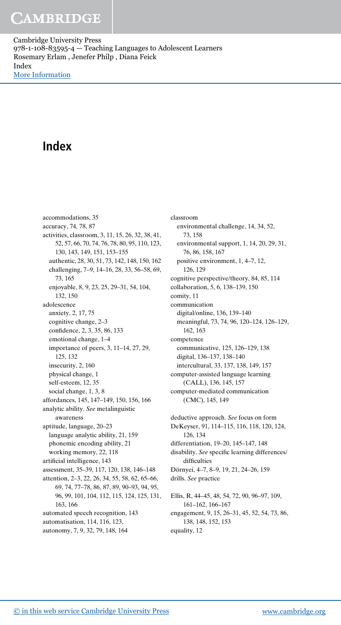Cambridge University Press 978-1-108-83595-4 — Teaching Languages to Adolescent Learners Rosemary Erlam , Jenefer Philp , Diana Feick Index [More Information](www.cambridge.org/9781108835954)

## Index

accommodations, 35 accuracy, 74, 78, 87 activities, classroom, 3, 11, 15, 26, 32, 38, 41, 52, 57, 66, 70, 74, 76, 78, 80, 95, 110, 123, 130, 143, 149, 151, 153–155 authentic, 28, 30, 51, 73, 142, 148, 150, 162 challenging, 7–9, 14–16, 28, 33, 56–58, 69, 73, 165 enjoyable, 8, 9, 23, 25, 29–31, 54, 104, 132, 150 adolescence anxiety, 2, 17, 75 cognitive change, 2–3 confidence, 2, 3, 35, 86, 133 emotional change, 1–4 importance of peers, 3, 11–14, 27, 29, 125, 132 insecurity, 2, 160 physical change, 1 self-esteem, 12, 35 social change, 1, 3, 8 affordances, 145, 147–149, 150, 156, 166 analytic ability. See metalinguistic awareness aptitude, language, 20–23 language analytic ability, 21, 159 phonemic encoding ability, 21 working memory, 22, 118 artificial intelligence, 143 assessment, 35–39, 117, 120, 138, 146–148 attention, 2–3, 22, 26, 34, 55, 58, 62, 65–66, 69, 74, 77–78, 86, 87, 89, 90–93, 94, 95, 96, 99, 101, 104, 112, 115, 124, 125, 131, 163, 166 automated speech recognition, 143 automatisation, 114, 116, 123, autonomy, 7, 9, 32, 79, 148, 164

classroom environmental challenge, 14, 34, 52, 73, 158 environmental support, 1, 14, 20, 29, 31, 76, 86, 158, 167 positive environment, 1, 4–7, 12, 126, 129 cognitive perspective/theory, 84, 85, 114 collaboration, 5, 6, 138–139, 150 comity, 11 communication digital/online, 136, 139–140 meaningful, 73, 74, 96, 120–124, 126–129, 162, 163 competence communicative, 125, 126–129, 138 digital, 136–137, 138–140 intercultural, 33, 137, 138, 149, 157 computer-assisted language learning (CALL), 136, 145, 157 computer-mediated communication (CMC), 145, 149 deductive approach. See focus on form DeKeyser, 91, 114–115, 116, 118, 120, 124, 126, 134 differentiation, 19–20, 145–147, 148 disability. See specific learning differences/ difficulties Dörnyei, 4–7, 8–9, 19, 21, 24–26, 159 drills. See practice Ellis, R, 44–45, 48, 54, 72, 90, 96–97, 109, 161–162, 166–167 engagement, 9, 15, 26–31, 45, 52, 54, 73, 86, 138, 148, 152, 153 equality, 12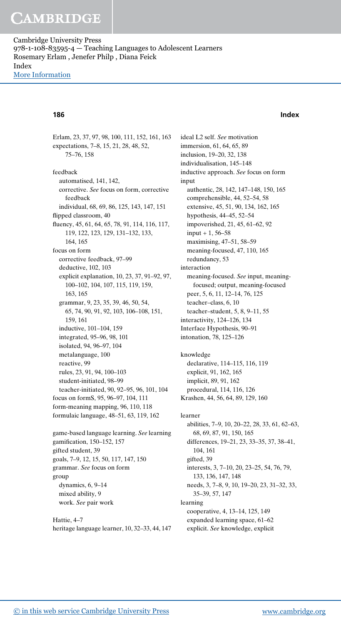## CAMBRIDGE

Cambridge University Press 978-1-108-83595-4 — Teaching Languages to Adolescent Learners Rosemary Erlam , Jenefer Philp , Diana Feick Index [More Information](www.cambridge.org/9781108835954)

### 186 Index

Erlam, 23, 37, 97, 98, 100, 111, 152, 161, 163 expectations, 7–8, 15, 21, 28, 48, 52, 75–76, 158 feedback automatised, 141, 142, corrective. See focus on form, corrective feedback individual, 68, 69, 86, 125, 143, 147, 151 flipped classroom, 40 fluency, 45, 61, 64, 65, 78, 91, 114, 116, 117, 119, 122, 123, 129, 131–132, 133, 164, 165 focus on form corrective feedback, 97–99 deductive, 102, 103 explicit explanation, 10, 23, 37, 91–92, 97, 100–102, 104, 107, 115, 119, 159, 163, 165 grammar, 9, 23, 35, 39, 46, 50, 54, 65, 74, 90, 91, 92, 103, 106–108, 151, 159, 161 inductive, 101–104, 159 integrated, 95–96, 98, 101 isolated, 94, 96–97, 104 metalanguage, 100 reactive, 99 rules, 23, 91, 94, 100–103 student-initiated, 98–99 teacher-initiated, 90, 92–95, 96, 101, 104 focus on formS, 95, 96–97, 104, 111 form-meaning mapping, 96, 110, 118 formulaic language, 48–51, 63, 119, 162 game-based language learning. See learning gamification, 150–152, 157 gifted student, 39 goals, 7–9, 12, 15, 50, 117, 147, 150 grammar. See focus on form

group dynamics, 6, 9–14 mixed ability, 9 work. See pair work

Hattie, 4–7 heritage language learner, 10, 32–33, 44, 147 ideal L2 self. See motivation immersion, 61, 64, 65, 89 inclusion, 19–20, 32, 138 individualisation, 145–148 inductive approach. See focus on form input authentic, 28, 142, 147–148, 150, 165 comprehensible, 44, 52–54, 58 extensive, 45, 51, 90, 134, 162, 165 hypothesis, 44–45, 52–54 impoverished, 21, 45, 61–62, 92  $input + 1, 56 - 58$ maximising, 47–51, 58–59 meaning-focused, 47, 110, 165 redundancy, 53 interaction meaning-focused. See input, meaningfocused; output, meaning-focused peer, 5, 6, 11, 12–14, 76, 125 teacher–class, 6, 10 teacher–student, 5, 8, 9–11, 55 interactivity, 124–126, 134 Interface Hypothesis, 90–91 intonation, 78, 125–126 knowledge declarative, 114–115, 116, 119 explicit, 91, 162, 165 implicit, 89, 91, 162 procedural, 114, 116, 126 Krashen, 44, 56, 64, 89, 129, 160 learner abilities, 7–9, 10, 20–22, 28, 33, 61, 62–63, 68, 69, 87, 91, 150, 165 differences, 19–21, 23, 33–35, 37, 38–41, 104, 161 gifted, 39 interests, 3, 7–10, 20, 23–25, 54, 76, 79, 133, 136, 147, 148 needs, 3, 7–8, 9, 10, 19–20, 23, 31–32, 33, 35–39, 57, 147 learning cooperative, 4, 13–14, 125, 149 expanded learning space, 61–62 explicit. See knowledge, explicit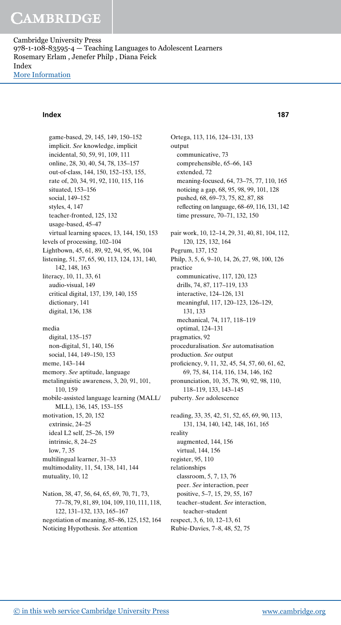# CAMBRIDGE

Cambridge University Press 978-1-108-83595-4 — Teaching Languages to Adolescent Learners Rosemary Erlam , Jenefer Philp , Diana Feick Index [More Information](www.cambridge.org/9781108835954)

### Index 187

game-based, 29, 145, 149, 150–152 implicit. See knowledge, implicit incidental, 50, 59, 91, 109, 111 online, 28, 30, 40, 54, 78, 135–157 out-of-class, 144, 150, 152–153, 155, rate of, 20, 34, 91, 92, 110, 115, 116 situated, 153–156 social, 149–152 styles, 4, 147 teacher-fronted, 125, 132 usage-based, 45–47 virtual learning spaces, 13, 144, 150, 153 levels of processing, 102–104 Lightbown, 45, 61, 89, 92, 94, 95, 96, 104 listening, 51, 57, 65, 90, 113, 124, 131, 140, 142, 148, 163 literacy, 10, 11, 33, 61 audio-visual, 149 critical digital, 137, 139, 140, 155 dictionary, 141 digital, 136, 138 media digital, 135–157 non-digital, 51, 140, 156 social, 144, 149–150, 153 meme, 143–144 memory. See aptitude, language metalinguistic awareness, 3, 20, 91, 101, 110, 159 mobile-assisted language learning (MALL/ MLL), 136, 145, 153–155 motivation, 15, 20, 152 extrinsic, 24–25 ideal L2 self, 25–26, 159 intrinsic, 8, 24–25 low, 7, 35 multilingual learner, 31–33 multimodality, 11, 54, 138, 141, 144 mutuality, 10, 12 Nation, 38, 47, 56, 64, 65, 69, 70, 71, 73, 77–78, 79, 81, 89, 104, 109, 110, 111, 118, 122, 131–132, 133, 165–167

negotiation of meaning, 85–86, 125, 152, 164 Noticing Hypothesis. See attention

Ortega, 113, 116, 124–131, 133 output communicative, 73 comprehensible, 65–66, 143 extended, 72 meaning-focused, 64, 73–75, 77, 110, 165 noticing a gap, 68, 95, 98, 99, 101, 128 pushed, 68, 69–73, 75, 82, 87, 88 reflecting on language, 68–69, 116, 131, 142 time pressure, 70–71, 132, 150 pair work, 10, 12–14, 29, 31, 40, 81, 104, 112, 120, 125, 132, 164 Pegrum, 137, 152 Philp, 3, 5, 6, 9–10, 14, 26, 27, 98, 100, 126 practice communicative, 117, 120, 123 drills, 74, 87, 117–119, 133 interactive, 124–126, 131 meaningful, 117, 120–123, 126–129, 131, 133 mechanical, 74, 117, 118–119 optimal, 124–131 pragmatics, 92 proceduralisation. See automatisation production. See output proficiency, 9, 11, 32, 45, 54, 57, 60, 61, 62, 69, 75, 84, 114, 116, 134, 146, 162 pronunciation, 10, 35, 78, 90, 92, 98, 110, 118–119, 133, 143–145 puberty. See adolescence reading, 33, 35, 42, 51, 52, 65, 69, 90, 113, 131, 134, 140, 142, 148, 161, 165 reality augmented, 144, 156 virtual, 144, 156 register, 95, 110 relationships classroom, 5, 7, 13, 76 peer. See interaction, peer positive, 5–7, 15, 29, 55, 167 teacher–student. See interaction, teacher–student respect, 3, 6, 10, 12–13, 61

Rubie-Davies, 7–8, 48, 52, 75